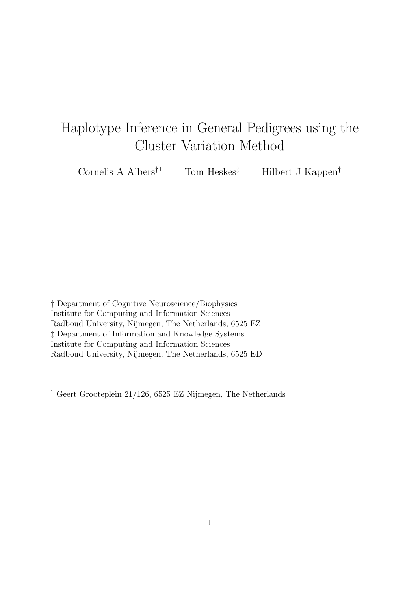# Haplotype Inference in General Pedigrees using the Cluster Variation Method

Cornelis A Albers<sup>†1</sup> Tom Heskes<sup>‡</sup> Hilbert J Kappen<sup>†</sup>

† Department of Cognitive Neuroscience/Biophysics Institute for Computing and Information Sciences Radboud University, Nijmegen, The Netherlands, 6525 EZ ‡ Department of Information and Knowledge Systems Institute for Computing and Information Sciences Radboud University, Nijmegen, The Netherlands, 6525 ED

<sup>1</sup> Geert Grooteplein 21/126, 6525 EZ Nijmegen, The Netherlands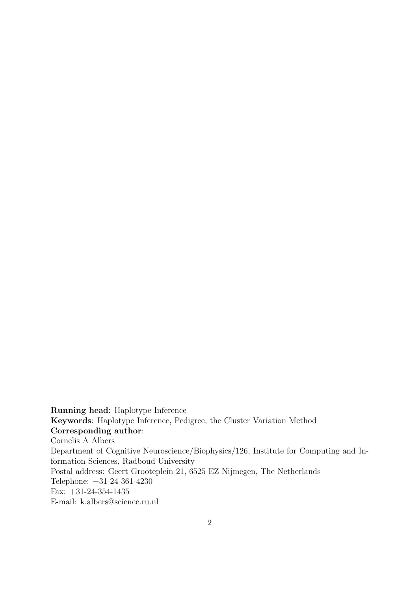Running head: Haplotype Inference Keywords: Haplotype Inference, Pedigree, the Cluster Variation Method Corresponding author: Cornelis A Albers Department of Cognitive Neuroscience/Biophysics/126, Institute for Computing and Information Sciences, Radboud University Postal address: Geert Grooteplein 21, 6525 EZ Nijmegen, The Netherlands Telephone: +31-24-361-4230 Fax: +31-24-354-1435 E-mail: k.albers@science.ru.nl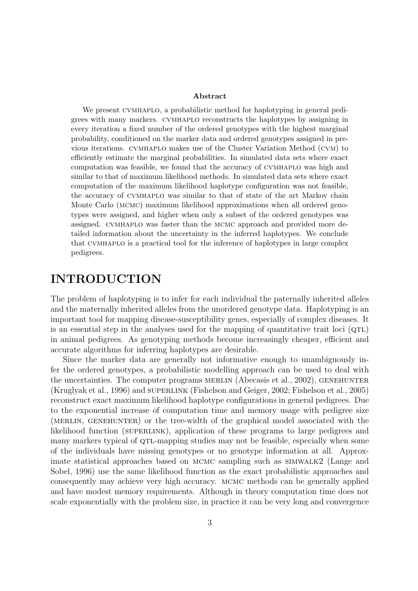#### Abstract

We present cvmhaplo, a probabilistic method for haplotyping in general pedigrees with many markers. cvmhaplo reconstructs the haplotypes by assigning in every iteration a fixed number of the ordered genotypes with the highest marginal probability, conditioned on the marker data and ordered genotypes assigned in previous iterations. cvmhaplo makes use of the Cluster Variation Method (cvm) to efficiently estimate the marginal probabilities. In simulated data sets where exact computation was feasible, we found that the accuracy of cvmhaplo was high and similar to that of maximum likelihood methods. In simulated data sets where exact computation of the maximum likelihood haplotype configuration was not feasible, the accuracy of cvmhaplo was similar to that of state of the art Markov chain Monte Carlo (mcmc) maximum likelihood approximations when all ordered genotypes were assigned, and higher when only a subset of the ordered genotypes was assigned. cvmhaplo was faster than the mcmc approach and provided more detailed information about the uncertainty in the inferred haplotypes. We conclude that cvmhaplo is a practical tool for the inference of haplotypes in large complex pedigrees.

### INTRODUCTION

The problem of haplotyping is to infer for each individual the paternally inherited alleles and the maternally inherited alleles from the unordered genotype data. Haplotyping is an important tool for mapping disease-susceptibility genes, especially of complex diseases. It is an essential step in the analyses used for the mapping of quantitative trait loci  $(QTL)$ in animal pedigrees. As genotyping methods become increasingly cheaper, efficient and accurate algorithms for inferring haplotypes are desirable.

Since the marker data are generally not informative enough to unambiguously infer the ordered genotypes, a probabilistic modelling approach can be used to deal with the uncertainties. The computer programs MERLIN (Abecasis et al., 2002), GENEHUNTER (Kruglyak et al., 1996) and superlink (Fishelson and Geiger, 2002; Fishelson et al., 2005) reconstruct exact maximum likelihood haplotype configurations in general pedigrees. Due to the exponential increase of computation time and memory usage with pedigree size (MERLIN, GENEHUNTER) or the tree-width of the graphical model associated with the likelihood function (SUPERLINK), application of these programs to large pedigrees and many markers typical of QTL-mapping studies may not be feasible, especially when some of the individuals have missing genotypes or no genotype information at all. Approximate statistical approaches based on mcmc sampling such as simwalk2 (Lange and Sobel, 1996) use the same likelihood function as the exact probabilistic approaches and consequently may achieve very high accuracy. mcmc methods can be generally applied and have modest memory requirements. Although in theory computation time does not scale exponentially with the problem size, in practice it can be very long and convergence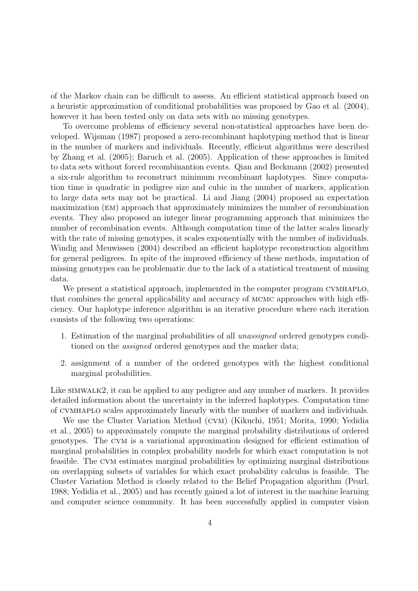of the Markov chain can be difficult to assess. An efficient statistical approach based on a heuristic approximation of conditional probabilities was proposed by Gao et al. (2004), however it has been tested only on data sets with no missing genotypes.

To overcome problems of efficiency several non-statistical approaches have been developed. Wijsman (1987) proposed a zero-recombinant haplotyping method that is linear in the number of markers and individuals. Recently, efficient algorithms were described by Zhang et al. (2005); Baruch et al. (2005). Application of these approaches is limited to data sets without forced recombinantion events. Qian and Beckmann (2002) presented a six-rule algorithm to reconstruct minimum recombinant haplotypes. Since computation time is quadratic in pedigree size and cubic in the number of markers, application to large data sets may not be practical. Li and Jiang (2004) proposed an expectation maximization (em) approach that approximately minimizes the number of recombination events. They also proposed an integer linear programming approach that minimizes the number of recombination events. Although computation time of the latter scales linearly with the rate of missing genotypes, it scales exponentially with the number of individuals. Windig and Meuwissen (2004) described an efficient haplotype reconstruction algorithm for general pedigrees. In spite of the improved efficiency of these methods, imputation of missing genotypes can be problematic due to the lack of a statistical treatment of missing data.

We present a statistical approach, implemented in the computer program CVMHAPLO, that combines the general applicability and accuracy of mcmc approaches with high efficiency. Our haplotype inference algorithm is an iterative procedure where each iteration consists of the following two operations:

- 1. Estimation of the marginal probabilities of all unassigned ordered genotypes conditioned on the *assigned* ordered genotypes and the marker data;
- 2. assignment of a number of the ordered genotypes with the highest conditional marginal probabilities.

Like SIMWALK2, it can be applied to any pedigree and any number of markers. It provides detailed information about the uncertainty in the inferred haplotypes. Computation time of cvmhaplo scales approximately linearly with the number of markers and individuals.

We use the Cluster Variation Method (cvm) (Kikuchi, 1951; Morita, 1990; Yedidia et al., 2005) to approximately compute the marginal probability distributions of ordered genotypes. The cvm is a variational approximation designed for efficient estimation of marginal probabilities in complex probability models for which exact computation is not feasible. The cvm estimates marginal probabilities by optimizing marginal distributions on overlapping subsets of variables for which exact probability calculus is feasible. The Cluster Variation Method is closely related to the Belief Propagation algorithm (Pearl, 1988; Yedidia et al., 2005) and has recently gained a lot of interest in the machine learning and computer science community. It has been successfully applied in computer vision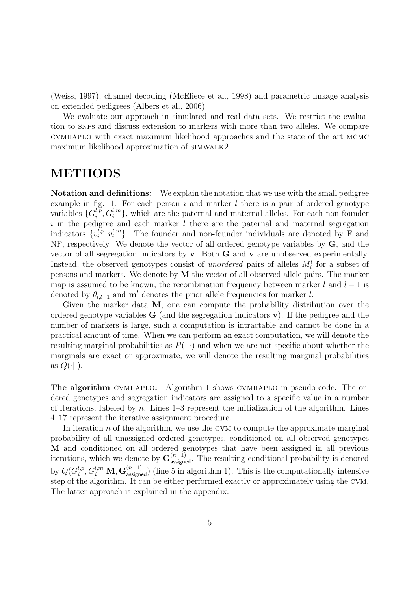(Weiss, 1997), channel decoding (McEliece et al., 1998) and parametric linkage analysis on extended pedigrees (Albers et al., 2006).

We evaluate our approach in simulated and real data sets. We restrict the evaluation to snps and discuss extension to markers with more than two alleles. We compare cvmhaplo with exact maximum likelihood approaches and the state of the art mcmc maximum likelihood approximation of SIMWALK2.

# METHODS

Notation and definitions: We explain the notation that we use with the small pedigree example in fig. 1. For each person  $i$  and marker  $l$  there is a pair of ordered genotype variables  ${G_i^{l,p}}$  $\{a_i^{l,p}, G_i^{l,m}\}$ , which are the paternal and maternal alleles. For each non-founder  $i$  in the pedigree and each marker  $l$  there are the paternal and maternal segregation indicators  $\{v_i^{l,p}$  $i^{l,p}, v_i^{l,m}$  $\binom{l,m}{i}$ . The founder and non-founder individuals are denoted by F and NF, respectively. We denote the vector of all ordered genotype variables by G, and the vector of all segregation indicators by v. Both G and v are unobserved experimentally. Instead, the observed genotypes consist of *unordered* pairs of alleles  $M_i^l$  for a subset of persons and markers. We denote by M the vector of all observed allele pairs. The marker map is assumed to be known; the recombination frequency between marker  $l$  and  $l-1$  is denoted by  $\theta_{l,l-1}$  and  $\mathbf{m}^l$  denotes the prior allele frequencies for marker l.

Given the marker data M, one can compute the probability distribution over the ordered genotype variables  $\bf{G}$  (and the segregation indicators  $\bf{v}$ ). If the pedigree and the number of markers is large, such a computation is intractable and cannot be done in a practical amount of time. When we can perform an exact computation, we will denote the resulting marginal probabilities as  $P(\cdot|\cdot)$  and when we are not specific about whether the marginals are exact or approximate, we will denote the resulting marginal probabilities as  $Q(\cdot|\cdot)$ .

The algorithm cvmhaplo: Algorithm 1 shows cvmhaplo in pseudo-code. The ordered genotypes and segregation indicators are assigned to a specific value in a number of iterations, labeled by  $n$ . Lines  $1-3$  represent the initialization of the algorithm. Lines 4–17 represent the iterative assignment procedure.

In iteration  $n$  of the algorithm, we use the CVM to compute the approximate marginal probability of all unassigned ordered genotypes, conditioned on all observed genotypes M and conditioned on all ordered genotypes that have been assigned in all previous iterations, which we denote by  $\mathbf{G}^{(n-1)}_{\text{assigned}}$ . The resulting conditional probability is denoted by  $Q(G_i^{l,p})$  $\mathcal{L}^{l,p}_i, G_i^{l,m}|\mathbf{M}, \mathbf{G}^{(n-1)}_{\text{assigned}})$  (line 5 in algorithm 1). This is the computationally intensive step of the algorithm. It can be either performed exactly or approximately using the cvm. The latter approach is explained in the appendix.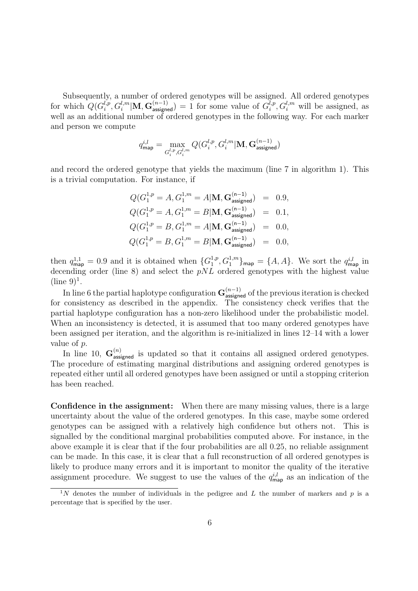Subsequently, a number of ordered genotypes will be assigned. All ordered genotypes for which  $Q(G_i^{l,p})$  $\int_i^{l,p}, G_i^{l,m}|\mathbf{M}, \mathbf{G}_{\text{assigned}}^{(n-1)}\rangle = 1$  for some value of  $G_i^{l,p}$  $i, P, G_i^{l,m}$  will be assigned, as well as an additional number of ordered genotypes in the following way. For each marker and person we compute

$$
q_\text{map}^{i,l} = \max_{G_i^{l,p}, G_i^{l,m}} Q(G_i^{l,p}, G_i^{l,m} | \mathbf{M}, \mathbf{G}_\text{assigned}^{(n-1)})
$$

and record the ordered genotype that yields the maximum (line 7 in algorithm 1). This is a trivial computation. For instance, if

$$
Q(G_1^{1,p} = A, G_1^{1,m} = A | \mathbf{M}, \mathbf{G}_{\text{assigned}}^{(n-1)}) = 0.9,
$$
  
\n
$$
Q(G_1^{1,p} = A, G_1^{1,m} = B | \mathbf{M}, \mathbf{G}_{\text{assigned}}^{(n-1)}) = 0.1,
$$
  
\n
$$
Q(G_1^{1,p} = B, G_1^{1,m} = A | \mathbf{M}, \mathbf{G}_{\text{assigned}}^{(n-1)}) = 0.0,
$$
  
\n
$$
Q(G_1^{1,p} = B, G_1^{1,m} = B | \mathbf{M}, \mathbf{G}_{\text{assigned}}^{(n-1)}) = 0.0,
$$

then  $q_{\text{map}}^{1,1} = 0.9$  and it is obtained when  $\{G_1^{1,p}$  $\{1,p,G_1^{1,m}\}$ <sub>map</sub> = {A, A}. We sort the  $q_{\sf map}^{i,l}$  in decending order (line 8) and select the  $pNL$  ordered genotypes with the highest value  $(line 9)<sup>1</sup>$ .

In line 6 the partial haplotype configuration  $G_{\text{assigned}}^{(n-1)}$  of the previous iteration is checked for consistency as described in the appendix. The consistency check verifies that the partial haplotype configuration has a non-zero likelihood under the probabilistic model. When an inconsistency is detected, it is assumed that too many ordered genotypes have been assigned per iteration, and the algorithm is re-initialized in lines 12–14 with a lower value of p.

In line 10,  $\mathbf{G}^{(n)}_{\text{assigned}}$  is updated so that it contains all assigned ordered genotypes. The procedure of estimating marginal distributions and assigning ordered genotypes is repeated either until all ordered genotypes have been assigned or until a stopping criterion has been reached.

Confidence in the assignment: When there are many missing values, there is a large uncertainty about the value of the ordered genotypes. In this case, maybe some ordered genotypes can be assigned with a relatively high confidence but others not. This is signalled by the conditional marginal probabilities computed above. For instance, in the above example it is clear that if the four probabilities are all 0.25, no reliable assignment can be made. In this case, it is clear that a full reconstruction of all ordered genotypes is likely to produce many errors and it is important to monitor the quality of the iterative assignment procedure. We suggest to use the values of the  $q_{\text{map}}^{i,l}$  as an indication of the

<sup>&</sup>lt;sup>1</sup>N denotes the number of individuals in the pedigree and L the number of markers and p is a percentage that is specified by the user.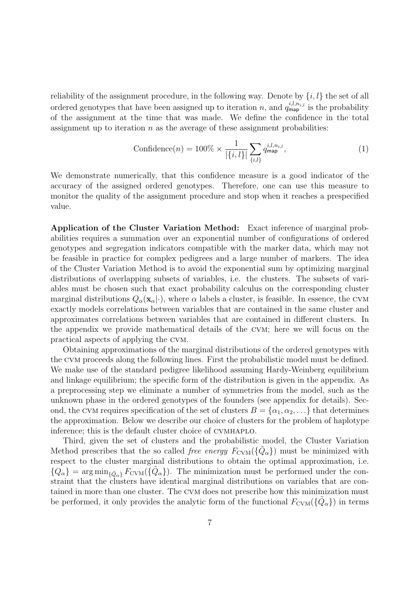reliability of the assignment procedure, in the following way. Denote by  $\{i, l\}$  the set of all ordered genotypes that have been assigned up to iteration n, and  $q_{\text{map}}^{i,l,n_{i,l}}$  is the probability of the assignment at the time that was made. We define the confidence in the total assignment up to iteration  $n$  as the average of these assignment probabilities:

$$
\text{Confidence}(n) = 100\% \times \frac{1}{|\{i, l\}|} \sum_{\{i, l\}} q_{\text{map}}^{i, l, n_{i, l}}, \tag{1}
$$

We demonstrate numerically, that this confidence measure is a good indicator of the accuracy of the assigned ordered genotypes. Therefore, one can use this measure to monitor the quality of the assignment procedure and stop when it reaches a prespecified value.

Application of the Cluster Variation Method: Exact inference of marginal probabilities requires a summation over an exponential number of configurations of ordered genotypes and segregation indicators compatible with the marker data, which may not be feasible in practice for complex pedigrees and a large number of markers. The idea of the Cluster Variation Method is to avoid the exponential sum by optimizing marginal distributions of overlapping subsets of variables, i.e. the clusters. The subsets of variables must be chosen such that exact probability calculus on the corresponding cluster marginal distributions  $Q_{\alpha}(\mathbf{x}_{\alpha}|\cdot)$ , where  $\alpha$  labels a cluster, is feasible. In essence, the CVM exactly models correlations between variables that are contained in the same cluster and approximates correlations between variables that are contained in different clusters. In the appendix we provide mathematical details of the cvm; here we will focus on the practical aspects of applying the cvm.

Obtaining approximations of the marginal distributions of the ordered genotypes with the cvm proceeds along the following lines. First the probabilistic model must be defined. We make use of the standard pedigree likelihood assuming Hardy-Weinberg equilibrium and linkage equilibrium; the specific form of the distribution is given in the appendix. As a preprocessing step we eliminate a number of symmetries from the model, such as the unknown phase in the ordered genotypes of the founders (see appendix for details). Second, the CVM requires specification of the set of clusters  $B = \{\alpha_1, \alpha_2, \ldots\}$  that determines the approximation. Below we describe our choice of clusters for the problem of haplotype inference; this is the default cluster choice of cvmhaplo.

Third, given the set of clusters and the probabilistic model, the Cluster Variation Method prescribes that the so called free energy  $F_{\text{CVM}}(\{\tilde{Q}_{\alpha}\})$  must be minimized with respect to the cluster marginal distributions to obtain the optimal approximation, i.e.  ${Q_{\alpha}}$  = arg min<sub>{ $\tilde{Q}_{\alpha}$ }</sub>  $F_{\text{CVM}}(\tilde{Q}_{\alpha})$ . The minimization must be performed under the constraint that the clusters have identical marginal distributions on variables that are contained in more than one cluster. The cvm does not prescribe how this minimization must be performed, it only provides the analytic form of the functional  $F_{\text{CVM}}(\{\tilde{Q}_{\alpha}\})$  in terms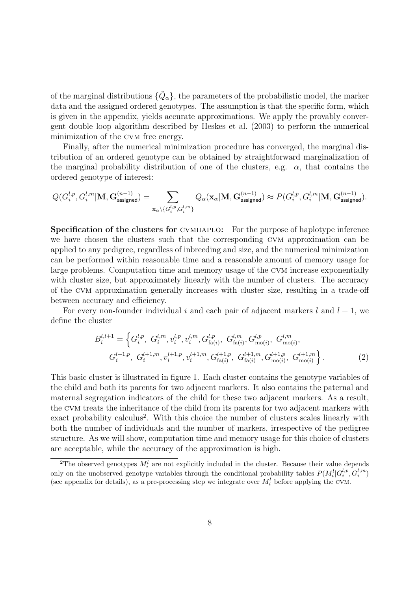of the marginal distributions  $\{\tilde{Q}_{\alpha}\},$  the parameters of the probabilistic model, the marker data and the assigned ordered genotypes. The assumption is that the specific form, which is given in the appendix, yields accurate approximations. We apply the provably convergent double loop algorithm described by Heskes et al. (2003) to perform the numerical minimization of the cvm free energy.

Finally, after the numerical minimization procedure has converged, the marginal distribution of an ordered genotype can be obtained by straightforward marginalization of the marginal probability distribution of one of the clusters, e.g.  $\alpha$ , that contains the ordered genotype of interest:

$$
Q(G_i^{l,p},G_i^{l,m}|\mathbf{M},\mathbf{G}_{\mathsf{assigned}}^{(n-1)})=\sum_{\mathbf{x}_{\alpha}\backslash\{G_i^{l,p},G_i^{l,m}\}}Q_{\alpha}(\mathbf{x}_{\alpha}|\mathbf{M},\mathbf{G}_{\mathsf{assigned}}^{(n-1)})\approx P(G_i^{l,p},G_i^{l,m}|\mathbf{M},\mathbf{G}_{\mathsf{assigned}}^{(n-1)}).
$$

Specification of the clusters for cvmhaplo: For the purpose of haplotype inference we have chosen the clusters such that the corresponding cvm approximation can be applied to any pedigree, regardless of inbreeding and size, and the numerical minimization can be performed within reasonable time and a reasonable amount of memory usage for large problems. Computation time and memory usage of the cvm increase exponentially with cluster size, but approximately linearly with the number of clusters. The accuracy of the cvm approximation generally increases with cluster size, resulting in a trade-off between accuracy and efficiency.

For every non-founder individual i and each pair of adjacent markers l and  $l + 1$ , we define the cluster

$$
B_i^{l,l+1} = \left\{ G_i^{l,p}, G_i^{l,m}, v_i^{l,p}, v_i^{l,m}, G_{\text{fa}(i)}^{l,p}, G_{\text{fa}(i)}^{l,m}, G_{\text{mo}(i)}^{l,p}, G_{\text{mo}(i)}^{l,m}, \right\}
$$

$$
G_i^{l+1,p}, G_i^{l+1,m}, v_i^{l+1,p}, v_i^{l+1,m}, G_{\text{fa}(i)}^{l+1,p}, G_{\text{fa}(i)}^{l+1,m}, G_{\text{mo}(i)}^{l+1,m}, G_{\text{mo}(i)}^{l+1,m} \right\}.
$$

$$
(2)
$$

This basic cluster is illustrated in figure 1. Each cluster contains the genotype variables of the child and both its parents for two adjacent markers. It also contains the paternal and maternal segregation indicators of the child for these two adjacent markers. As a result, the cvm treats the inheritance of the child from its parents for two adjacent markers with exact probability calculus<sup>2</sup>. With this choice the number of clusters scales linearly with both the number of individuals and the number of markers, irrespective of the pedigree structure. As we will show, computation time and memory usage for this choice of clusters are acceptable, while the accuracy of the approximation is high.

<sup>&</sup>lt;sup>2</sup>The observed genotypes  $M_i^l$  are not explicitly included in the cluster. Because their value depends only on the unobserved genotype variables through the conditional probability tables  $P(M_i^l|G_i^{l,p}, G_i^{l,m})$ (see appendix for details), as a pre-processing step we integrate over  $M_i^l$  before applying the CVM.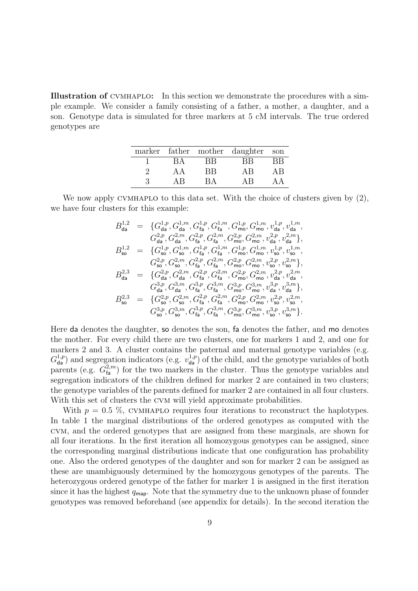Illustration of cvmhaplo: In this section we demonstrate the procedures with a simple example. We consider a family consisting of a father, a mother, a daughter, and a son. Genotype data is simulated for three markers at 5 cM intervals. The true ordered genotypes are

|     |    | marker father mother daughter son |    |
|-----|----|-----------------------------------|----|
|     | RВ | ВB                                | RВ |
| A A | ВB | AB                                | ΑR |
| ΔR  | RΔ | ΔR                                |    |

We now apply CVMHAPLO to this data set. With the choice of clusters given by  $(2)$ , we have four clusters for this example:

$$
B_{\text{da}}^{1,2} = \{G_{\text{da}}^{1,p}, G_{\text{da}}^{1,p}, G_{\text{fa}}^{1,p}, G_{\text{fa}}^{1,m}, G_{\text{mo}}^{1,p}, G_{\text{mo}}^{1,m}, v_{\text{da}}^{1,p}, v_{\text{da}}^{1,m},
$$
  
\n
$$
G_{\text{da}}^{2,p}, G_{\text{da}}^{2,m}, G_{\text{fa}}^{2,p}, G_{\text{fa}}^{2,m}, G_{\text{mo}}^{2,p}, G_{\text{mo}}^{2,m}, v_{\text{da}}^{2,p}, v_{\text{da}}^{2,m}\},
$$
  
\n
$$
B_{\text{so}}^{1,2} = \{G_{\text{so}}^{1,p}, G_{\text{so}}^{1,m}, G_{\text{fa}}^{1,p}, G_{\text{fa}}^{1,m}, G_{\text{mo}}^{1,p}, G_{\text{mo}}^{1,m}, v_{\text{so}}^{1,p}, v_{\text{so}}^{1,m},
$$
  
\n
$$
G_{\text{so}}^{2,p}, G_{\text{so}}^{2,m}, G_{\text{fa}}^{2,p}, G_{\text{fa}}^{2,m}, G_{\text{mo}}^{2,p}, G_{\text{mo}}^{2,m}, v_{\text{so}}^{2,p}, v_{\text{so}}^{2,m}\},
$$
  
\n
$$
B_{\text{da}}^{2,3} = \{G_{\text{da}}^{2,p}, G_{\text{da}}^{2,m}, G_{\text{fa}}^{2,p}, G_{\text{fa}}^{2,m}, G_{\text{mo}}^{2,p}, G_{\text{mo}}^{2,m}, v_{\text{da}}^{2,p}, v_{\text{da}}^{2,m},
$$
  
\n
$$
G_{\text{da}}^{3,p}, G_{\text{da}}^{3,m}, G_{\text{fa}}^{3,p}, G_{\text{fa}}^{3,m}, G_{\text{mo}}^{3,p}, G_{\text{mo}}^{3,m}, v_{\text{da}}^{3,p}, v_{\text{aa}}^{3,m},
$$
  
\n
$$
B_{\text{so}}^{2,3} = \{G_{\text{so}}^{2,p}, G_{\text{so}}^{2,m}, G_{\text{fa}}^{2,p}, G_{\text{fa}}^{2,m}, G_{\text{mo}}^{2,p}, G_{\text{mo}}^{2,m}, v_{\text{so}}^{2,p}, v_{\text{so}}^{2,m},
$$
  
\n $$ 

Here da denotes the daughter, so denotes the son, fa denotes the father, and mo denotes the mother. For every child there are two clusters, one for markers 1 and 2, and one for markers 2 and 3. A cluster contains the paternal and maternal genotype variables (e.g.  $G_{\text{da}}^{1,p}$  and segregation indicators (e.g.  $v_{\text{da}}^{1,p}$ ) of the child, and the genotype variables of both parents (e.g.  $G_{\text{fa}}^{2,m}$ ) for the two markers in the cluster. Thus the genotype variables and segregation indicators of the children defined for marker 2 are contained in two clusters; the genotype variables of the parents defined for marker 2 are contained in all four clusters. With this set of clusters the CVM will yield approximate probabilities.

With  $p = 0.5\%$ , CVMHAPLO requires four iterations to reconstruct the haplotypes. In table 1 the marginal distributions of the ordered genotypes as computed with the cvm, and the ordered genotypes that are assigned from these marginals, are shown for all four iterations. In the first iteration all homozygous genotypes can be assigned, since the corresponding marginal distributions indicate that one configuration has probability one. Also the ordered genotypes of the daughter and son for marker 2 can be assigned as these are unambiguously determined by the homozygous genotypes of the parents. The heterozygous ordered genotype of the father for marker 1 is assigned in the first iteration since it has the highest  $q_{\text{map}}$ . Note that the symmetry due to the unknown phase of founder genotypes was removed beforehand (see appendix for details). In the second iteration the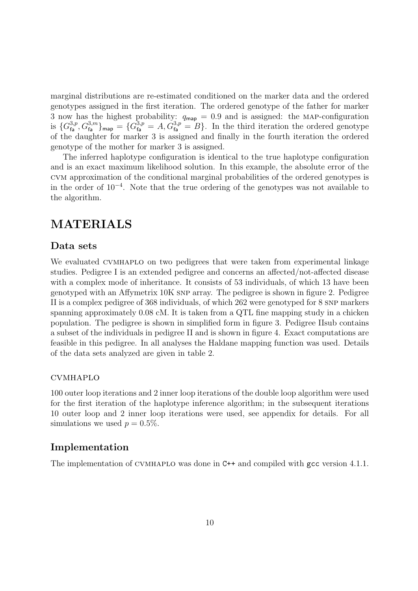marginal distributions are re-estimated conditioned on the marker data and the ordered genotypes assigned in the first iteration. The ordered genotype of the father for marker 3 now has the highest probability:  $q_{\text{map}} = 0.9$  and is assigned: the MAP-configuration is  ${G_{\text{fa}}^{3,p}, G_{\text{fa}}^{3,m}}_{\text{map}} = {G_{\text{fa}}^{3,p} = A, G_{\text{fa}}^{3,p} = B}.$  In the third iteration the ordered genotype of the daughter for marker 3 is assigned and finally in the fourth iteration the ordered genotype of the mother for marker 3 is assigned.

The inferred haplotype configuration is identical to the true haplotype configuration and is an exact maximum likelihood solution. In this example, the absolute error of the cvm approximation of the conditional marginal probabilities of the ordered genotypes is in the order of 10<sup>−</sup><sup>4</sup> . Note that the true ordering of the genotypes was not available to the algorithm.

# MATERIALS

#### Data sets

We evaluated CVMHAPLO on two pedigrees that were taken from experimental linkage studies. Pedigree I is an extended pedigree and concerns an affected/not-affected disease with a complex mode of inheritance. It consists of 53 individuals, of which 13 have been genotyped with an Affymetrix 10K snp array. The pedigree is shown in figure 2. Pedigree II is a complex pedigree of 368 individuals, of which 262 were genotyped for 8 snp markers spanning approximately 0.08 cM. It is taken from a QTL fine mapping study in a chicken population. The pedigree is shown in simplified form in figure 3. Pedigree IIsub contains a subset of the individuals in pedigree II and is shown in figure 4. Exact computations are feasible in this pedigree. In all analyses the Haldane mapping function was used. Details of the data sets analyzed are given in table 2.

#### cvmhaplo

100 outer loop iterations and 2 inner loop iterations of the double loop algorithm were used for the first iteration of the haplotype inference algorithm; in the subsequent iterations 10 outer loop and 2 inner loop iterations were used, see appendix for details. For all simulations we used  $p = 0.5\%$ .

### Implementation

The implementation of CVMHAPLO was done in C++ and compiled with gcc version 4.1.1.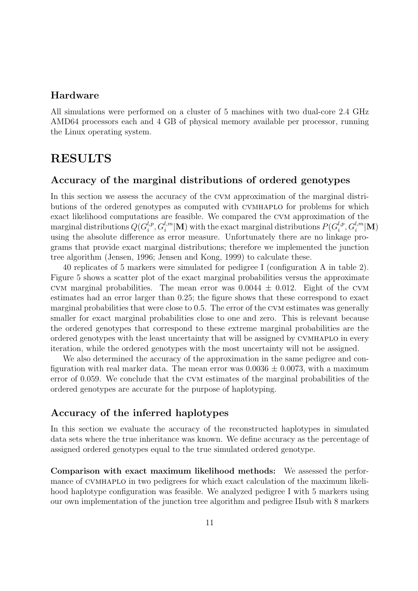### Hardware

All simulations were performed on a cluster of 5 machines with two dual-core 2.4 GHz AMD64 processors each and 4 GB of physical memory available per processor, running the Linux operating system.

### RESULTS

#### Accuracy of the marginal distributions of ordered genotypes

In this section we assess the accuracy of the cvm approximation of the marginal distributions of the ordered genotypes as computed with cvmhaplo for problems for which exact likelihood computations are feasible. We compared the cvm approximation of the marginal distributions  $Q(G_i^{l,p})$  $\mathcal{C}_i^{l,p}, G_i^{l,m}|\mathbf{M})$  with the exact marginal distributions  $P(G_i^{l,p})$  $i^{l,p}, G_i^{l,m}|{\mathbf M})$ using the absolute difference as error measure. Unfortunately there are no linkage programs that provide exact marginal distributions; therefore we implemented the junction tree algorithm (Jensen, 1996; Jensen and Kong, 1999) to calculate these.

40 replicates of 5 markers were simulated for pedigree I (configuration A in table 2). Figure 5 shows a scatter plot of the exact marginal probabilities versus the approximate CVM marginal probabilities. The mean error was  $0.0044 \pm 0.012$ . Eight of the CVM estimates had an error larger than 0.25; the figure shows that these correspond to exact marginal probabilities that were close to 0.5. The error of the CVM estimates was generally smaller for exact marginal probabilities close to one and zero. This is relevant because the ordered genotypes that correspond to these extreme marginal probabilities are the ordered genotypes with the least uncertainty that will be assigned by cvmhaplo in every iteration, while the ordered genotypes with the most uncertainty will not be assigned.

We also determined the accuracy of the approximation in the same pedigree and configuration with real marker data. The mean error was  $0.0036 \pm 0.0073$ , with a maximum error of 0.059. We conclude that the cvm estimates of the marginal probabilities of the ordered genotypes are accurate for the purpose of haplotyping.

### Accuracy of the inferred haplotypes

In this section we evaluate the accuracy of the reconstructed haplotypes in simulated data sets where the true inheritance was known. We define accuracy as the percentage of assigned ordered genotypes equal to the true simulated ordered genotype.

Comparison with exact maximum likelihood methods: We assessed the performance of cvmhaplo in two pedigrees for which exact calculation of the maximum likelihood haplotype configuration was feasible. We analyzed pedigree I with 5 markers using our own implementation of the junction tree algorithm and pedigree IIsub with 8 markers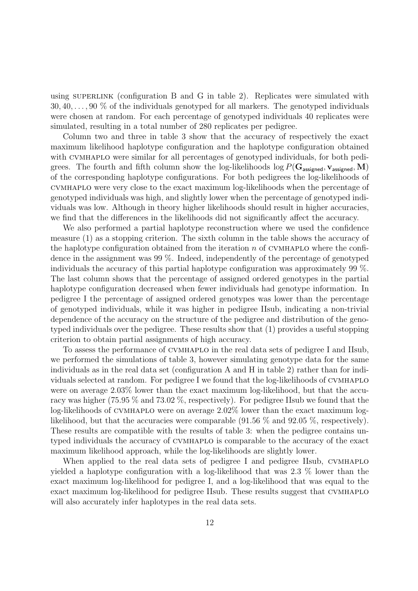using SUPERLINK (configuration B and G in table 2). Replicates were simulated with  $30, 40, \ldots, 90\%$  of the individuals genotyped for all markers. The genotyped individuals were chosen at random. For each percentage of genotyped individuals 40 replicates were simulated, resulting in a total number of 280 replicates per pedigree.

Column two and three in table 3 show that the accuracy of respectively the exact maximum likelihood haplotype configuration and the haplotype configuration obtained with CVMHAPLO were similar for all percentages of genotyped individuals, for both pedigrees. The fourth and fifth column show the log-likelihoods  $\log P(G_{\text{assigned}}, \mathbf{v}_{\text{assigned}}, \mathbf{M})$ of the corresponding haplotype configurations. For both pedigrees the log-likelihoods of cvmhaplo were very close to the exact maximum log-likelihoods when the percentage of genotyped individuals was high, and slightly lower when the percentage of genotyped individuals was low. Although in theory higher likelihoods should result in higher accuracies, we find that the differences in the likelihoods did not significantly affect the accuracy.

We also performed a partial haplotype reconstruction where we used the confidence measure (1) as a stopping criterion. The sixth column in the table shows the accuracy of the haplotype configuration obtained from the iteration  $n$  of CVMHAPLO where the confidence in the assignment was 99 %. Indeed, independently of the percentage of genotyped individuals the accuracy of this partial haplotype configuration was approximately 99 %. The last column shows that the percentage of assigned ordered genotypes in the partial haplotype configuration decreased when fewer individuals had genotype information. In pedigree I the percentage of assigned ordered genotypes was lower than the percentage of genotyped individuals, while it was higher in pedigree IIsub, indicating a non-trivial dependence of the accuracy on the structure of the pedigree and distribution of the genotyped individuals over the pedigree. These results show that (1) provides a useful stopping criterion to obtain partial assignments of high accuracy.

To assess the performance of cvmhaplo in the real data sets of pedigree I and IIsub, we performed the simulations of table 3, however simulating genotype data for the same individuals as in the real data set (configuration A and H in table 2) rather than for individuals selected at random. For pedigree I we found that the log-likelihoods of cvmhaplo were on average 2.03% lower than the exact maximum log-likelihood, but that the accuracy was higher (75.95 % and 73.02 %, respectively). For pedigree IIsub we found that the log-likelihoods of cvmhaplo were on average 2.02% lower than the exact maximum loglikelihood, but that the accuracies were comparable  $(91.56\%$  and  $92.05\%$ , respectively). These results are compatible with the results of table 3: when the pedigree contains untyped individuals the accuracy of cvmhaplo is comparable to the accuracy of the exact maximum likelihood approach, while the log-likelihoods are slightly lower.

When applied to the real data sets of pedigree I and pedigree IIsub, CVMHAPLO yielded a haplotype configuration with a log-likelihood that was 2.3 % lower than the exact maximum log-likelihood for pedigree I, and a log-likelihood that was equal to the exact maximum log-likelihood for pedigree IIsub. These results suggest that cvmhaplo will also accurately infer haplotypes in the real data sets.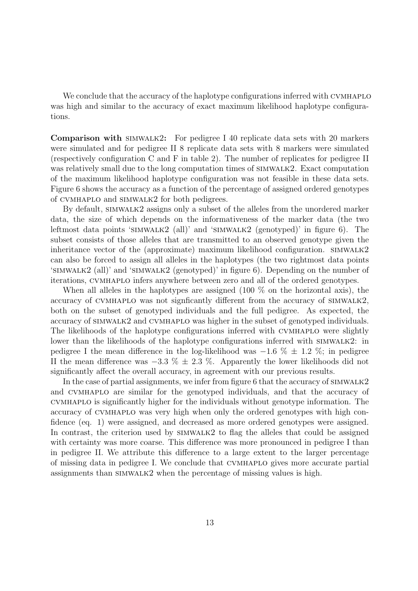We conclude that the accuracy of the haplotype configurations inferred with CVMHAPLO was high and similar to the accuracy of exact maximum likelihood haplotype configurations.

Comparison with simwalk2: For pedigree I 40 replicate data sets with 20 markers were simulated and for pedigree II 8 replicate data sets with 8 markers were simulated (respectively configuration C and F in table 2). The number of replicates for pedigree II was relatively small due to the long computation times of simwalk2. Exact computation of the maximum likelihood haplotype configuration was not feasible in these data sets. Figure 6 shows the accuracy as a function of the percentage of assigned ordered genotypes of cvmhaplo and simwalk2 for both pedigrees.

By default, SIMWALK2 assigns only a subset of the alleles from the unordered marker data, the size of which depends on the informativeness of the marker data (the two leftmost data points 'simwalk2 (all)' and 'simwalk2 (genotyped)' in figure 6). The subset consists of those alleles that are transmitted to an observed genotype given the inheritance vector of the (approximate) maximum likelihood configuration.  $SIMWALK2$ can also be forced to assign all alleles in the haplotypes (the two rightmost data points 'simwalk2 (all)' and 'simwalk2 (genotyped)' in figure 6). Depending on the number of iterations, cvmhaplo infers anywhere between zero and all of the ordered genotypes.

When all alleles in the haplotypes are assigned  $(100\%$  on the horizontal axis), the accuracy of cvmhaplo was not signficantly different from the accuracy of simwalk2, both on the subset of genotyped individuals and the full pedigree. As expected, the accuracy of simwalk2 and cvmhaplo was higher in the subset of genotyped individuals. The likelihoods of the haplotype configurations inferred with CVMHAPLO were slightly lower than the likelihoods of the haplotype configurations inferred with SIMWALK2: in pedigree I the mean difference in the log-likelihood was  $-1.6\% \pm 1.2\%$ ; in pedigree II the mean difference was  $-3.3\% \pm 2.3\%$ . Apparently the lower likelihoods did not significantly affect the overall accuracy, in agreement with our previous results.

In the case of partial assignments, we infer from figure 6 that the accuracy of  $\text{SIMWALK2}$ and cvmhaplo are similar for the genotyped individuals, and that the accuracy of cvmhaplo is significantly higher for the individuals without genotype information. The accuracy of cvmhaplo was very high when only the ordered genotypes with high confidence (eq. 1) were assigned, and decreased as more ordered genotypes were assigned. In contrast, the criterion used by simwalk2 to flag the alleles that could be assigned with certainty was more coarse. This difference was more pronounced in pedigree I than in pedigree II. We attribute this difference to a large extent to the larger percentage of missing data in pedigree I. We conclude that cvmhaplo gives more accurate partial assignments than simwalk2 when the percentage of missing values is high.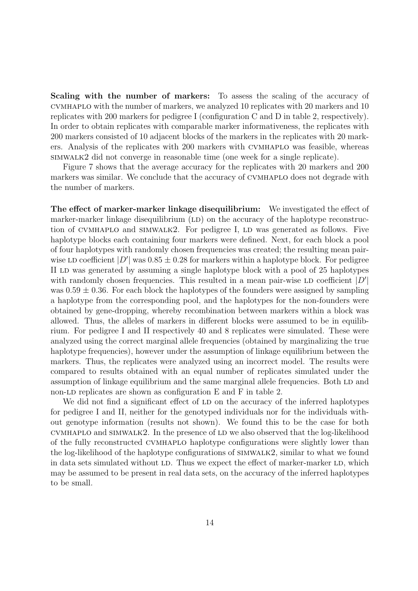Scaling with the number of markers: To assess the scaling of the accuracy of cvmhaplo with the number of markers, we analyzed 10 replicates with 20 markers and 10 replicates with 200 markers for pedigree I (configuration C and D in table 2, respectively). In order to obtain replicates with comparable marker informativeness, the replicates with 200 markers consisted of 10 adjacent blocks of the markers in the replicates with 20 markers. Analysis of the replicates with 200 markers with cvmhaplo was feasible, whereas simwalk2 did not converge in reasonable time (one week for a single replicate).

Figure 7 shows that the average accuracy for the replicates with 20 markers and 200 markers was similar. We conclude that the accuracy of CVMHAPLO does not degrade with the number of markers.

The effect of marker-marker linkage disequilibrium: We investigated the effect of marker-marker linkage disequilibrium  $(LD)$  on the accuracy of the haplotype reconstruction of CVMHAPLO and SIMWALK2. For pedigree I, LD was generated as follows. Five haplotype blocks each containing four markers were defined. Next, for each block a pool of four haplotypes with randomly chosen frequencies was created; the resulting mean pairwise LD coefficient  $|D'|$  was  $0.85 \pm 0.28$  for markers within a haplotype block. For pedigree II LD was generated by assuming a single haplotype block with a pool of 25 haplotypes with randomly chosen frequencies. This resulted in a mean pair-wise LD coefficient  $|D'|$ was  $0.59 \pm 0.36$ . For each block the haplotypes of the founders were assigned by sampling a haplotype from the corresponding pool, and the haplotypes for the non-founders were obtained by gene-dropping, whereby recombination between markers within a block was allowed. Thus, the alleles of markers in different blocks were assumed to be in equilibrium. For pedigree I and II respectively 40 and 8 replicates were simulated. These were analyzed using the correct marginal allele frequencies (obtained by marginalizing the true haplotype frequencies), however under the assumption of linkage equilibrium between the markers. Thus, the replicates were analyzed using an incorrect model. The results were compared to results obtained with an equal number of replicates simulated under the assumption of linkage equilibrium and the same marginal allele frequencies. Both LD and non-LD replicates are shown as configuration E and F in table 2.

We did not find a significant effect of LD on the accuracy of the inferred haplotypes for pedigree I and II, neither for the genotyped individuals nor for the individuals without genotype information (results not shown). We found this to be the case for both  $CVMHAPLO$  and  $SIMWALK2$ . In the presence of LD we also observed that the log-likelihood of the fully reconstructed cvmhaplo haplotype configurations were slightly lower than the log-likelihood of the haplotype configurations of simwalk2, similar to what we found in data sets simulated without LD. Thus we expect the effect of marker-marker LD, which may be assumed to be present in real data sets, on the accuracy of the inferred haplotypes to be small.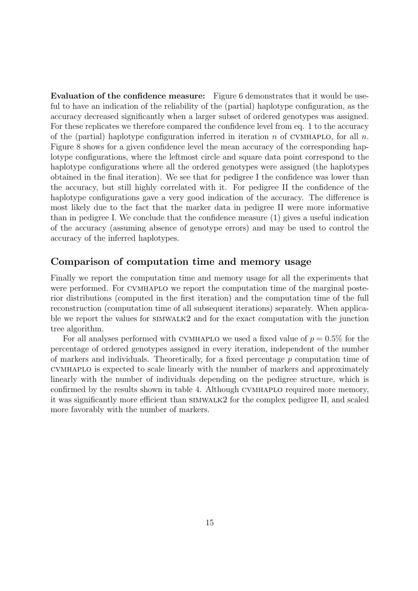Evaluation of the confidence measure: Figure 6 demonstrates that it would be useful to have an indication of the reliability of the (partial) haplotype configuration, as the accuracy decreased significantly when a larger subset of ordered genotypes was assigned. For these replicates we therefore compared the confidence level from eq. 1 to the accuracy of the (partial) haplotype configuration inferred in iteration  $n$  of CVMHAPLO, for all  $n$ . Figure 8 shows for a given confidence level the mean accuracy of the corresponding haplotype configurations, where the leftmost circle and square data point correspond to the haplotype configurations where all the ordered genotypes were assigned (the haplotypes obtained in the final iteration). We see that for pedigree I the confidence was lower than the accuracy, but still highly correlated with it. For pedigree II the confidence of the haplotype configurations gave a very good indication of the accuracy. The difference is most likely due to the fact that the marker data in pedigree II were more informative than in pedigree I. We conclude that the confidence measure (1) gives a useful indication of the accuracy (assuming absence of genotype errors) and may be used to control the accuracy of the inferred haplotypes.

### Comparison of computation time and memory usage

Finally we report the computation time and memory usage for all the experiments that were performed. For cvmhaplo we report the computation time of the marginal posterior distributions (computed in the first iteration) and the computation time of the full reconstruction (computation time of all subsequent iterations) separately. When applicable we report the values for simwalk2 and for the exact computation with the junction tree algorithm.

For all analyses performed with CVMHAPLO we used a fixed value of  $p = 0.5\%$  for the percentage of ordered genotypes assigned in every iteration, independent of the number of markers and individuals. Theoretically, for a fixed percentage  $p$  computation time of cvmhaplo is expected to scale linearly with the number of markers and approximately linearly with the number of individuals depending on the pedigree structure, which is confirmed by the results shown in table 4. Although CVMHAPLO required more memory, it was significantly more efficient than simwalk2 for the complex pedigree II, and scaled more favorably with the number of markers.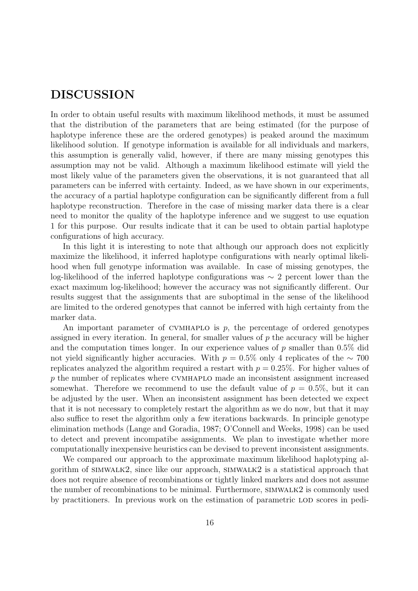# DISCUSSION

In order to obtain useful results with maximum likelihood methods, it must be assumed that the distribution of the parameters that are being estimated (for the purpose of haplotype inference these are the ordered genotypes) is peaked around the maximum likelihood solution. If genotype information is available for all individuals and markers, this assumption is generally valid, however, if there are many missing genotypes this assumption may not be valid. Although a maximum likelihood estimate will yield the most likely value of the parameters given the observations, it is not guaranteed that all parameters can be inferred with certainty. Indeed, as we have shown in our experiments, the accuracy of a partial haplotype configuration can be significantly different from a full haplotype reconstruction. Therefore in the case of missing marker data there is a clear need to monitor the quality of the haplotype inference and we suggest to use equation 1 for this purpose. Our results indicate that it can be used to obtain partial haplotype configurations of high accuracy.

In this light it is interesting to note that although our approach does not explicitly maximize the likelihood, it inferred haplotype configurations with nearly optimal likelihood when full genotype information was available. In case of missing genotypes, the log-likelihood of the inferred haplotype configurations was ∼ 2 percent lower than the exact maximum log-likelihood; however the accuracy was not significantly different. Our results suggest that the assignments that are suboptimal in the sense of the likelihood are limited to the ordered genotypes that cannot be inferred with high certainty from the marker data.

An important parameter of CVMHAPLO is  $p$ , the percentage of ordered genotypes assigned in every iteration. In general, for smaller values of  $p$  the accuracy will be higher and the computation times longer. In our experience values of  $p$  smaller than 0.5% did not yield significantly higher accuracies. With  $p = 0.5\%$  only 4 replicates of the ∼ 700 replicates analyzed the algorithm required a restart with  $p = 0.25\%$ . For higher values of p the number of replicates where cvmhaplo made an inconsistent assignment increased somewhat. Therefore we recommend to use the default value of  $p = 0.5\%$ , but it can be adjusted by the user. When an inconsistent assignment has been detected we expect that it is not necessary to completely restart the algorithm as we do now, but that it may also suffice to reset the algorithm only a few iterations backwards. In principle genotype elimination methods (Lange and Goradia, 1987; O'Connell and Weeks, 1998) can be used to detect and prevent incompatibe assignments. We plan to investigate whether more computationally inexpensive heuristics can be devised to prevent inconsistent assignments.

We compared our approach to the approximate maximum likelihood haplotyping algorithm of simwalk2, since like our approach, simwalk2 is a statistical approach that does not require absence of recombinations or tightly linked markers and does not assume the number of recombinations to be minimal. Furthermore, simwalk2 is commonly used by practitioners. In previous work on the estimation of parametric LOD scores in pedi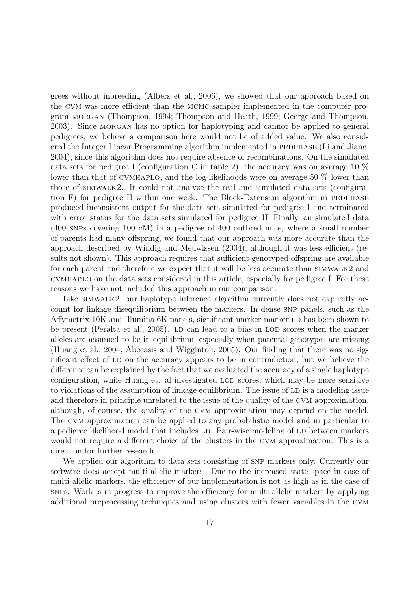grees without inbreeding (Albers et al., 2006), we showed that our approach based on the cvm was more efficient than the mcmc-sampler implemented in the computer program morgan (Thompson, 1994; Thompson and Heath, 1999; George and Thompson, 2003). Since morgan has no option for haplotyping and cannot be applied to general pedigrees, we believe a comparison here would not be of added value. We also considered the Integer Linear Programming algorithm implemented in PEDPHASE (Li and Jiang, 2004), since this algorithm does not require absence of recombinations. On the simulated data sets for pedigree I (configuration C in table 2), the accuracy was on average 10  $\%$ lower than that of CVMHAPLO, and the log-likelihoods were on average 50  $\%$  lower than those of simwalk2. It could not analyze the real and simulated data sets (configuration  $F$ ) for pedigree II within one week. The Block-Extension algorithm in PEDPHASE produced inconsistent output for the data sets simulated for pedigree I and terminated with error status for the data sets simulated for pedigree II. Finally, on simulated data (400 snps covering 100 cM) in a pedigree of 400 outbred mice, where a small number of parents had many offspring, we found that our approach was more accurate than the approach described by Windig and Meuwissen (2004), although it was less efficient (results not shown). This approach requires that sufficient genotyped offspring are available for each parent and therefore we expect that it will be less accurate than SIMWALK2 and cvmhaplo on the data sets considered in this article, especially for pedigree I. For these reasons we have not included this approach in our comparison.

Like simwalk2, our haplotype inference algorithm currently does not explicitly account for linkage disequilibrium between the markers. In dense SNP panels, such as the Affymetrix 10K and Illumina 6K panels, significant marker-marker LD has been shown to be present (Peralta et al., 2005). LD can lead to a bias in LOD scores when the marker alleles are assumed to be in equilibrium, especially when parental genotypes are missing (Huang et al., 2004; Abecasis and Wigginton, 2005). Our finding that there was no significant effect of LD on the accuracy appears to be in contradiction, but we believe the difference can be explained by the fact that we evaluated the accuracy of a single haplotype configuration, while Huang et. al investigated lod scores, which may be more sensitive to violations of the assumption of linkage equilibrium. The issue of LD is a modeling issue and therefore in principle unrelated to the issue of the quality of the cvm approximation, although, of course, the quality of the cvm approximation may depend on the model. The cvm approximation can be applied to any probabilistic model and in particular to a pedigree likelihood model that includes LD. Pair-wise modeling of LD between markers would not require a different choice of the clusters in the CVM approximation. This is a direction for further research.

We applied our algorithm to data sets consisting of SNP markers only. Currently our software does accept multi-allelic markers. Due to the increased state space in case of multi-allelic markers, the efficiency of our implementation is not as high as in the case of snps. Work is in progress to improve the efficiency for multi-allelic markers by applying additional preprocessing techniques and using clusters with fewer variables in the cvm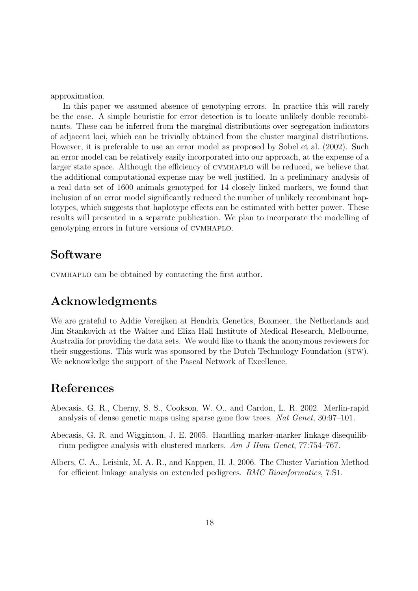approximation.

In this paper we assumed absence of genotyping errors. In practice this will rarely be the case. A simple heuristic for error detection is to locate unlikely double recombinants. These can be inferred from the marginal distributions over segregation indicators of adjacent loci, which can be trivially obtained from the cluster marginal distributions. However, it is preferable to use an error model as proposed by Sobel et al. (2002). Such an error model can be relatively easily incorporated into our approach, at the expense of a larger state space. Although the efficiency of cvmhaplo will be reduced, we believe that the additional computational expense may be well justified. In a preliminary analysis of a real data set of 1600 animals genotyped for 14 closely linked markers, we found that inclusion of an error model significantly reduced the number of unlikely recombinant haplotypes, which suggests that haplotype effects can be estimated with better power. These results will presented in a separate publication. We plan to incorporate the modelling of genotyping errors in future versions of cvmhaplo.

### Software

cvmhaplo can be obtained by contacting the first author.

# Acknowledgments

We are grateful to Addie Vereijken at Hendrix Genetics, Boxmeer, the Netherlands and Jim Stankovich at the Walter and Eliza Hall Institute of Medical Research, Melbourne, Australia for providing the data sets. We would like to thank the anonymous reviewers for their suggestions. This work was sponsored by the Dutch Technology Foundation (stw). We acknowledge the support of the Pascal Network of Excellence.

### References

- Abecasis, G. R., Cherny, S. S., Cookson, W. O., and Cardon, L. R. 2002. Merlin-rapid analysis of dense genetic maps using sparse gene flow trees. Nat Genet, 30:97–101.
- Abecasis, G. R. and Wigginton, J. E. 2005. Handling marker-marker linkage disequilibrium pedigree analysis with clustered markers. Am J Hum Genet, 77:754–767.
- Albers, C. A., Leisink, M. A. R., and Kappen, H. J. 2006. The Cluster Variation Method for efficient linkage analysis on extended pedigrees. BMC Bioinformatics, 7:S1.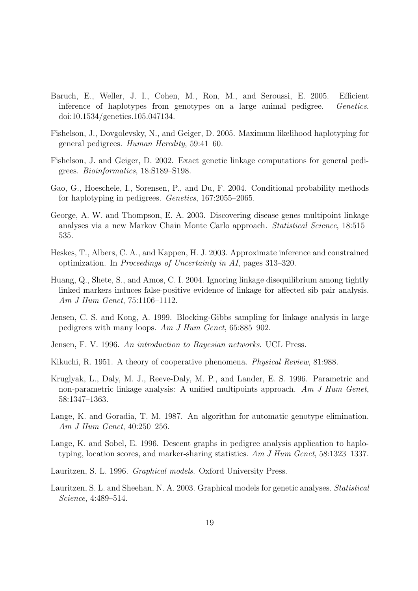- Baruch, E., Weller, J. I., Cohen, M., Ron, M., and Seroussi, E. 2005. Efficient inference of haplotypes from genotypes on a large animal pedigree. Genetics. doi:10.1534/genetics.105.047134.
- Fishelson, J., Dovgolevsky, N., and Geiger, D. 2005. Maximum likelihood haplotyping for general pedigrees. Human Heredity, 59:41–60.
- Fishelson, J. and Geiger, D. 2002. Exact genetic linkage computations for general pedigrees. Bioinformatics, 18:S189–S198.
- Gao, G., Hoeschele, I., Sorensen, P., and Du, F. 2004. Conditional probability methods for haplotyping in pedigrees. Genetics, 167:2055–2065.
- George, A. W. and Thompson, E. A. 2003. Discovering disease genes multipoint linkage analyses via a new Markov Chain Monte Carlo approach. Statistical Science, 18:515– 535.
- Heskes, T., Albers, C. A., and Kappen, H. J. 2003. Approximate inference and constrained optimization. In Proceedings of Uncertainty in AI, pages 313–320.
- Huang, Q., Shete, S., and Amos, C. I. 2004. Ignoring linkage disequilibrium among tightly linked markers induces false-positive evidence of linkage for affected sib pair analysis. Am J Hum Genet, 75:1106–1112.
- Jensen, C. S. and Kong, A. 1999. Blocking-Gibbs sampling for linkage analysis in large pedigrees with many loops. Am J Hum Genet, 65:885–902.
- Jensen, F. V. 1996. An introduction to Bayesian networks. UCL Press.
- Kikuchi, R. 1951. A theory of cooperative phenomena. Physical Review, 81:988.
- Kruglyak, L., Daly, M. J., Reeve-Daly, M. P., and Lander, E. S. 1996. Parametric and non-parametric linkage analysis: A unified multipoints approach. Am J Hum Genet, 58:1347–1363.
- Lange, K. and Goradia, T. M. 1987. An algorithm for automatic genotype elimination. Am J Hum Genet, 40:250–256.
- Lange, K. and Sobel, E. 1996. Descent graphs in pedigree analysis application to haplotyping, location scores, and marker-sharing statistics. Am J Hum Genet, 58:1323–1337.
- Lauritzen, S. L. 1996. Graphical models. Oxford University Press.
- Lauritzen, S. L. and Sheehan, N. A. 2003. Graphical models for genetic analyses. Statistical Science, 4:489–514.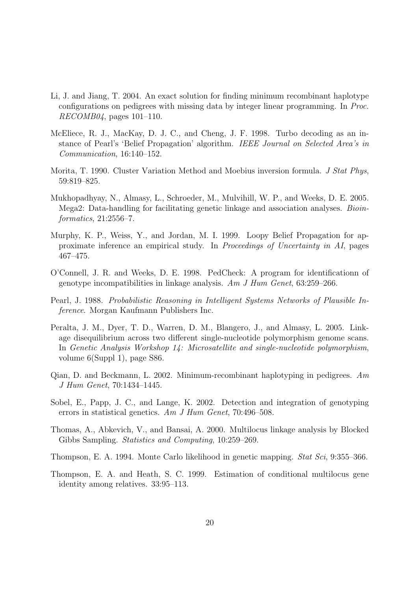- Li, J. and Jiang, T. 2004. An exact solution for finding minimum recombinant haplotype configurations on pedigrees with missing data by integer linear programming. In Proc.  $RECOMB04$ , pages 101–110.
- McEliece, R. J., MacKay, D. J. C., and Cheng, J. F. 1998. Turbo decoding as an instance of Pearl's 'Belief Propagation' algorithm. IEEE Journal on Selected Area's in Communication, 16:140–152.
- Morita, T. 1990. Cluster Variation Method and Moebius inversion formula. J Stat Phys, 59:819–825.
- Mukhopadhyay, N., Almasy, L., Schroeder, M., Mulvihill, W. P., and Weeks, D. E. 2005. Mega2: Data-handling for facilitating genetic linkage and association analyses. Bioinformatics, 21:2556–7.
- Murphy, K. P., Weiss, Y., and Jordan, M. I. 1999. Loopy Belief Propagation for approximate inference an empirical study. In Proceedings of Uncertainty in AI, pages 467–475.
- O'Connell, J. R. and Weeks, D. E. 1998. PedCheck: A program for identificationn of genotype incompatibilities in linkage analysis. Am J Hum Genet, 63:259–266.
- Pearl, J. 1988. Probabilistic Reasoning in Intelligent Systems Networks of Plausible Inference. Morgan Kaufmann Publishers Inc.
- Peralta, J. M., Dyer, T. D., Warren, D. M., Blangero, J., and Almasy, L. 2005. Linkage disequilibrium across two different single-nucleotide polymorphism genome scans. In Genetic Analysis Workshop 14: Microsatellite and single-nucleotide polymorphism, volume 6(Suppl 1), page S86.
- Qian, D. and Beckmann, L. 2002. Minimum-recombinant haplotyping in pedigrees. Am J Hum Genet, 70:1434–1445.
- Sobel, E., Papp, J. C., and Lange, K. 2002. Detection and integration of genotyping errors in statistical genetics. Am J Hum Genet, 70:496–508.
- Thomas, A., Abkevich, V., and Bansai, A. 2000. Multilocus linkage analysis by Blocked Gibbs Sampling. Statistics and Computing, 10:259–269.
- Thompson, E. A. 1994. Monte Carlo likelihood in genetic mapping. Stat Sci, 9:355–366.
- Thompson, E. A. and Heath, S. C. 1999. Estimation of conditional multilocus gene identity among relatives. 33:95–113.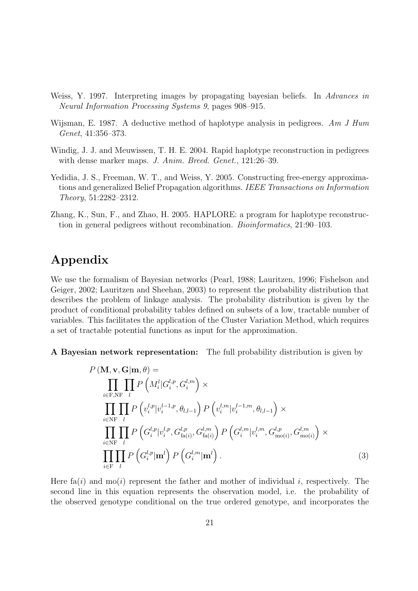- Weiss, Y. 1997. Interpreting images by propagating bayesian beliefs. In Advances in Neural Information Processing Systems 9, pages 908–915.
- Wijsman, E. 1987. A deductive method of haplotype analysis in pedigrees. Am J Hum Genet, 41:356–373.
- Windig, J. J. and Meuwissen, T. H. E. 2004. Rapid haplotype reconstruction in pedigrees with dense marker maps. J. Anim. Breed. Genet., 121:26–39.
- Yedidia, J. S., Freeman, W. T., and Weiss, Y. 2005. Constructing free-energy approximations and generalized Belief Propagation algorithms. IEEE Transactions on Information Theory, 51:2282–2312.
- Zhang, K., Sun, F., and Zhao, H. 2005. HAPLORE: a program for haplotype reconstruction in general pedigrees without recombination. Bioinformatics, 21:90–103.

# Appendix

We use the formalism of Bayesian networks (Pearl, 1988; Lauritzen, 1996; Fishelson and Geiger, 2002; Lauritzen and Sheehan, 2003) to represent the probability distribution that describes the problem of linkage analysis. The probability distribution is given by the product of conditional probability tables defined on subsets of a low, tractable number of variables. This facilitates the application of the Cluster Variation Method, which requires a set of tractable potential functions as input for the approximation.

A Bayesian network representation: The full probability distribution is given by

$$
P(\mathbf{M}, \mathbf{v}, \mathbf{G} | \mathbf{m}, \theta) =
$$
\n
$$
\prod_{i \in \mathbf{F}, \mathbf{N} \mathbf{F}} \prod_{l} P\left(M_i^l | G_i^{l, p}, G_i^{l, m}\right) \times
$$
\n
$$
\prod_{i \in \mathbf{N} \mathbf{F}} \prod_{l} P\left(v_i^{l, p} | v_i^{l-1, p}, \theta_{l, l-1}\right) P\left(v_i^{l, m} | v_i^{l-1, m}, \theta_{l, l-1}\right) \times
$$
\n
$$
\prod_{i \in \mathbf{N} \mathbf{F}} \prod_{l} P\left(G_i^{l, p} | v_i^{l, p}, G_{\text{fa}(i)}^{l, p}, G_{\text{fa}(i)}^{l, m}\right) P\left(G_i^{l, m} | v_i^{l, m}, G_{\text{mo}(i)}^{l, p}, G_{\text{mo}(i)}^{l, m}\right) \times
$$
\n
$$
\prod_{i \in \mathbf{F}} \prod_{l} P\left(G_i^{l, p} | \mathbf{m}^l\right) P\left(G_i^{l, m} | \mathbf{m}^l\right).
$$
\n(3)

Here fa(i) and mo(i) represent the father and mother of individual i, respectively. The second line in this equation represents the observation model, i.e. the probability of the observed genotype conditional on the true ordered genotype, and incorporates the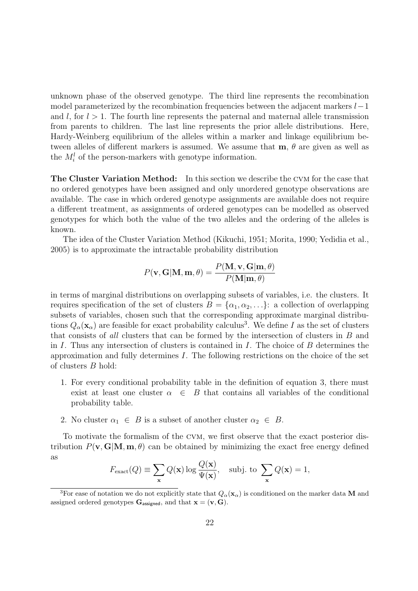unknown phase of the observed genotype. The third line represents the recombination model parameterized by the recombination frequencies between the adjacent markers  $l-1$ and  $l$ , for  $l > 1$ . The fourth line represents the paternal and maternal allele transmission from parents to children. The last line represents the prior allele distributions. Here, Hardy-Weinberg equilibrium of the alleles within a marker and linkage equilibrium between alleles of different markers is assumed. We assume that  $m, \theta$  are given as well as the  $M_i^l$  of the person-markers with genotype information.

The Cluster Variation Method: In this section we describe the cvm for the case that no ordered genotypes have been assigned and only unordered genotype observations are available. The case in which ordered genotype assignments are available does not require a different treatment, as assignments of ordered genotypes can be modelled as observed genotypes for which both the value of the two alleles and the ordering of the alleles is known.

The idea of the Cluster Variation Method (Kikuchi, 1951; Morita, 1990; Yedidia et al., 2005) is to approximate the intractable probability distribution

$$
P(\mathbf{v}, \mathbf{G}|\mathbf{M}, \mathbf{m}, \theta) = \frac{P(\mathbf{M}, \mathbf{v}, \mathbf{G}|\mathbf{m}, \theta)}{P(\mathbf{M}|\mathbf{m}, \theta)}
$$

in terms of marginal distributions on overlapping subsets of variables, i.e. the clusters. It requires specification of the set of clusters  $B = {\alpha_1, \alpha_2, \ldots}$ : a collection of overlapping subsets of variables, chosen such that the corresponding approximate marginal distributions  $Q_{\alpha}(\mathbf{x}_{\alpha})$  are feasible for exact probability calculus<sup>3</sup>. We define I as the set of clusters that consists of all clusters that can be formed by the intersection of clusters in B and in I. Thus any intersection of clusters is contained in I. The choice of  $B$  determines the approximation and fully determines  $I$ . The following restrictions on the choice of the set of clusters B hold:

- 1. For every conditional probability table in the definition of equation 3, there must exist at least one cluster  $\alpha \in B$  that contains all variables of the conditional probability table.
- 2. No cluster  $\alpha_1 \in B$  is a subset of another cluster  $\alpha_2 \in B$ .

To motivate the formalism of the cvm, we first observe that the exact posterior distribution  $P(\mathbf{v}, \mathbf{G} | \mathbf{M}, \mathbf{m}, \theta)$  can be obtained by minimizing the exact free energy defined as

$$
F_{\text{exact}}(Q) \equiv \sum_{\mathbf{x}} Q(\mathbf{x}) \log \frac{Q(\mathbf{x})}{\Psi(\mathbf{x})}, \text{ subj. to } \sum_{\mathbf{x}} Q(\mathbf{x}) = 1,
$$

<sup>&</sup>lt;sup>3</sup>For ease of notation we do not explicitly state that  $Q_{\alpha}(\mathbf{x}_{\alpha})$  is conditioned on the marker data M and assigned ordered genotypes  $\mathbf{G}_{\text{assigned}}$ , and that  $\mathbf{x} = (\mathbf{v}, \mathbf{G})$ .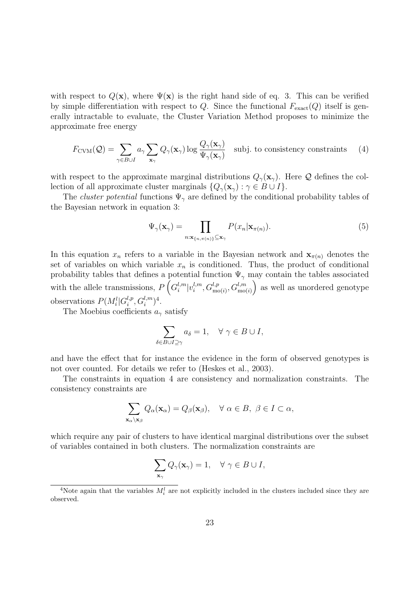with respect to  $Q(\mathbf{x})$ , where  $\Psi(\mathbf{x})$  is the right hand side of eq. 3. This can be verified by simple differentiation with respect to Q. Since the functional  $F_{\text{exact}}(Q)$  itself is generally intractable to evaluate, the Cluster Variation Method proposes to minimize the approximate free energy

$$
F_{\text{CVM}}(\mathcal{Q}) = \sum_{\gamma \in B \cup I} a_{\gamma} \sum_{\mathbf{x}_{\gamma}} Q_{\gamma}(\mathbf{x}_{\gamma}) \log \frac{Q_{\gamma}(\mathbf{x}_{\gamma})}{\Psi_{\gamma}(\mathbf{x}_{\gamma})} \text{ subj. to consistency constraints} \quad (4)
$$

with respect to the approximate marginal distributions  $Q_{\gamma}(\mathbf{x}_{\gamma})$ . Here Q defines the collection of all approximate cluster marginals  $\{Q_\gamma(\mathbf{x}_\gamma): \gamma \in B \cup I\}.$ 

The *cluster potential* functions  $\Psi_{\gamma}$  are defined by the conditional probability tables of the Bayesian network in equation 3:

$$
\Psi_{\gamma}(\mathbf{x}_{\gamma}) = \prod_{n:\mathbf{x}_{\{n,\pi(n)\}} \subseteq \mathbf{x}_{\gamma}} P(x_n | \mathbf{x}_{\pi(n)}).
$$
\n(5)

In this equation  $x_n$  refers to a variable in the Bayesian network and  $\mathbf{x}_{\pi(n)}$  denotes the set of variables on which variable  $x_n$  is conditioned. Thus, the product of conditional probability tables that defines a potential function  $\Psi_{\gamma}$  may contain the tables associated with the allele transmissions,  $P\left(G_i^{l,m}\right)$  $\binom{l,m}{i}v_i^{l,m}$  $\left( \mathcal{G}_{\text{mo}(i)}^{l,m}, \mathcal{G}_{\text{mo}(i)}^{l,m} \right)$  as well as unordered genotype observations  $P(M_i^l|G_i^{l,p})$  $i^{,p}, G_i^{l,m})^4.$ 

The Moebius coefficients  $a_{\gamma}$  satisfy

$$
\sum_{\delta \in B \cup I \supseteq \gamma} a_{\delta} = 1, \quad \forall \ \gamma \in B \cup I,
$$

and have the effect that for instance the evidence in the form of observed genotypes is not over counted. For details we refer to (Heskes et al., 2003).

The constraints in equation 4 are consistency and normalization constraints. The consistency constraints are

$$
\sum_{\mathbf{x}_{\alpha}\backslash\mathbf{x}_{\beta}} Q_{\alpha}(\mathbf{x}_{\alpha}) = Q_{\beta}(\mathbf{x}_{\beta}), \quad \forall \alpha \in B, \ \beta \in I \subset \alpha,
$$

which require any pair of clusters to have identical marginal distributions over the subset of variables contained in both clusters. The normalization constraints are

$$
\sum_{\mathbf{x}_{\gamma}} Q_{\gamma}(\mathbf{x}_{\gamma}) = 1, \quad \forall \ \gamma \in B \cup I,
$$

<sup>&</sup>lt;sup>4</sup>Note again that the variables  $M_i^l$  are not explicitly included in the clusters included since they are observed.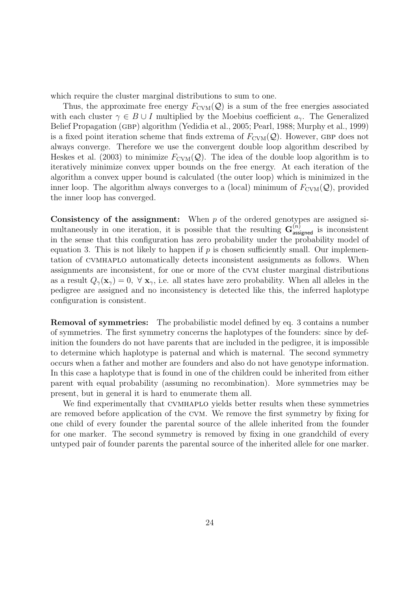which require the cluster marginal distributions to sum to one.

Thus, the approximate free energy  $F_{\text{CVM}}(\mathcal{Q})$  is a sum of the free energies associated with each cluster  $\gamma \in B \cup I$  multiplied by the Moebius coefficient  $a_{\gamma}$ . The Generalized Belief Propagation (GBP) algorithm (Yedidia et al., 2005; Pearl, 1988; Murphy et al., 1999) is a fixed point iteration scheme that finds extrema of  $F_{\text{CVM}}(\mathcal{Q})$ . However, GBP does not always converge. Therefore we use the convergent double loop algorithm described by Heskes et al. (2003) to minimize  $F_{\text{CVM}}(\mathcal{Q})$ . The idea of the double loop algorithm is to iteratively minimize convex upper bounds on the free energy. At each iteration of the algorithm a convex upper bound is calculated (the outer loop) which is minimized in the inner loop. The algorithm always converges to a (local) minimum of  $F_{\text{CVM}}(\mathcal{Q})$ , provided the inner loop has converged.

**Consistency of the assignment:** When  $p$  of the ordered genotypes are assigned simultaneously in one iteration, it is possible that the resulting  $\mathbf{G}^{(n)}_{\text{assigned}}$  is inconsistent in the sense that this configuration has zero probability under the probability model of equation 3. This is not likely to happen if  $p$  is chosen sufficiently small. Our implementation of cvmhaplo automatically detects inconsistent assignments as follows. When assignments are inconsistent, for one or more of the cvm cluster marginal distributions as a result  $Q_{\gamma}(\mathbf{x}_{\gamma}) = 0$ ,  $\forall$   $\mathbf{x}_{\gamma}$ , i.e. all states have zero probability. When all alleles in the pedigree are assigned and no inconsistency is detected like this, the inferred haplotype configuration is consistent.

Removal of symmetries: The probabilistic model defined by eq. 3 contains a number of symmetries. The first symmetry concerns the haplotypes of the founders: since by definition the founders do not have parents that are included in the pedigree, it is impossible to determine which haplotype is paternal and which is maternal. The second symmetry occurs when a father and mother are founders and also do not have genotype information. In this case a haplotype that is found in one of the children could be inherited from either parent with equal probability (assuming no recombination). More symmetries may be present, but in general it is hard to enumerate them all.

We find experimentally that cvmhaplo yields better results when these symmetries are removed before application of the cvm. We remove the first symmetry by fixing for one child of every founder the parental source of the allele inherited from the founder for one marker. The second symmetry is removed by fixing in one grandchild of every untyped pair of founder parents the parental source of the inherited allele for one marker.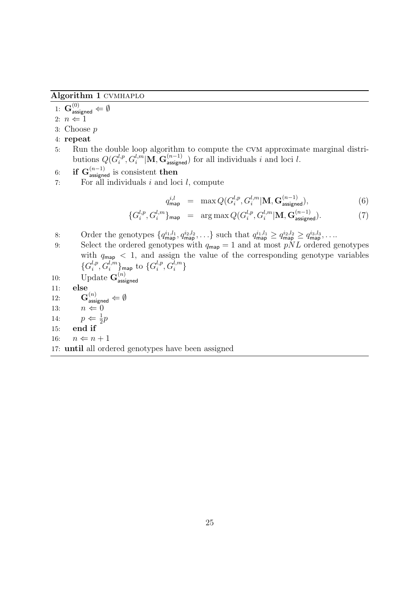Algorithm 1 cvmhaplo

1:  $\mathbf{G}^{(0)}_{\mathsf{assigned}} \Leftarrow \emptyset$ 

- 2:  $n \Leftarrow 1$
- 3: Choose p
- 4: repeat
- 5: Run the double loop algorithm to compute the cvm approximate marginal distributions  $Q(G_i^{l,p})$  $\int_i^{l,p}, G_i^{l,m}|\mathbf{M}, \mathbf{G}^{(n-1)}_{\text{assigned}}\rangle$  for all individuals i and loci l.
- 6: if  $\mathbf{G}^{(n-1)}_{\text{assigned}}$  is consistent then
- 7: For all individuals  $i$  and loci  $l$ , compute

$$
q_{\mathsf{map}}^{i,l} = \max Q(G_i^{l,p}, G_i^{l,m} | \mathbf{M}, \mathbf{G}_{\mathsf{assigned}}^{(n-1)}), \tag{6}
$$

$$
\{G_i^{l,p}, G_i^{l,m}\}_{\text{map}} = \arg\max Q(G_i^{l,p}, G_i^{l,m} | \mathbf{M}, \mathbf{G}_{\text{assigned}}^{(n-1)}). \tag{7}
$$

- 8: Order the genotypes  $\{q_{\mathsf{map}}^{i_1,l_1}, q_{\mathsf{map}}^{i_2,l_2}, \ldots\}$  such that  $q_{\mathsf{map}}^{i_1,l_1} \geq q_{\mathsf{map}}^{i_2,l_2} \geq q_{\mathsf{map}}^{i_3,l_3}, \ldots$
- 9: Select the ordered genotypes with  $q_{\mathsf{map}} = 1$  and at most  $pNL$  ordered genotypes with  $q_{\text{map}} < 1$ , and assign the value of the corresponding genotype variables  $\{G_i^{l,p}$  $\{i^{l,p}_i,G^{l,m}_i\}$ map to  $\{G^{l,p}_i\}$  $\binom{l,p}{i},G_i^{l,m}\}$

10: Update 
$$
\mathbf{G}^{(n)}_{\text{assigned}}
$$

11: else

12:  $\mathbf{G}^{(n)}_{\mathsf{assigned}} \Leftarrow \emptyset$ 13:  $n \Leftarrow 0$ 14:  $p \Leftarrow \frac{1}{2}p$ 

- 15: end if
- 16:  $n \Leftarrow n + 1$

17: until all ordered genotypes have been assigned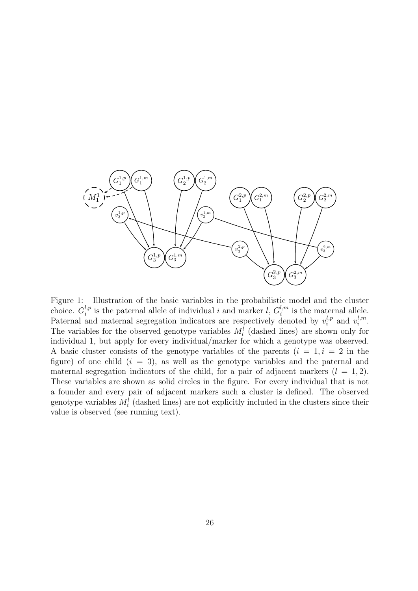

Figure 1: Illustration of the basic variables in the probabilistic model and the cluster choice.  $G_i^{l,p}$  $i^{l,p}_{i}$  is the paternal allele of individual i and marker l,  $G_i^{l,m}$  $i_i^{l,m}$  is the maternal allele. Paternal and maternal segregation indicators are respectively denoted by  $v_i^{l,p}$  $v_i^{l,p}$  and  $v_i^{l,m}$  $l_i^{l,m}$  . The variables for the observed genotype variables  $M_i^l$  (dashed lines) are shown only for individual 1, but apply for every individual/marker for which a genotype was observed. A basic cluster consists of the genotype variables of the parents  $(i = 1, i = 2$  in the figure) of one child  $(i = 3)$ , as well as the genotype variables and the paternal and maternal segregation indicators of the child, for a pair of adjacent markers  $(l = 1, 2)$ . These variables are shown as solid circles in the figure. For every individual that is not a founder and every pair of adjacent markers such a cluster is defined. The observed genotype variables  $M_i^l$  (dashed lines) are not explicitly included in the clusters since their value is observed (see running text).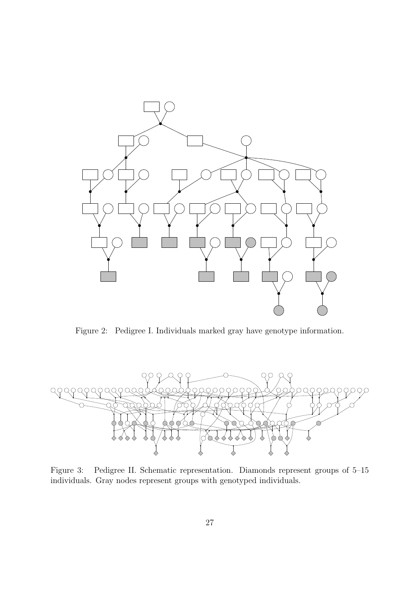

Figure 2: Pedigree I. Individuals marked gray have genotype information.



Figure 3: Pedigree II. Schematic representation. Diamonds represent groups of 5–15 individuals. Gray nodes represent groups with genotyped individuals.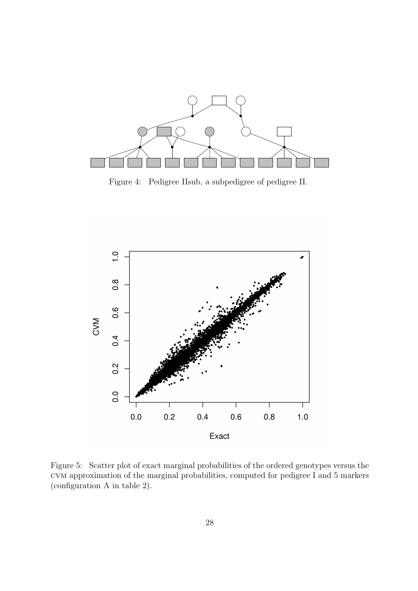

Figure 4: Pedigree IIsub, a subpedigree of pedigree II.



Figure 5: Scatter plot of exact marginal probabilities of the ordered genotypes versus the cvm approximation of the marginal probabilities, computed for pedigree I and 5 markers (configuration A in table 2).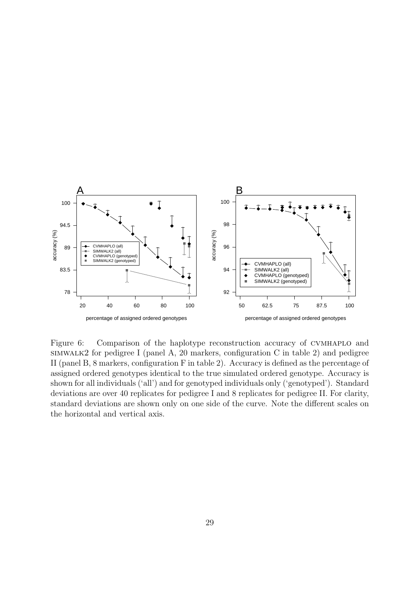

Figure 6: Comparison of the haplotype reconstruction accuracy of CVMHAPLO and simwalk2 for pedigree I (panel A, 20 markers, configuration C in table 2) and pedigree II (panel B, 8 markers, configuration F in table 2). Accuracy is defined as the percentage of assigned ordered genotypes identical to the true simulated ordered genotype. Accuracy is shown for all individuals ('all') and for genotyped individuals only ('genotyped'). Standard deviations are over 40 replicates for pedigree I and 8 replicates for pedigree II. For clarity, standard deviations are shown only on one side of the curve. Note the different scales on the horizontal and vertical axis.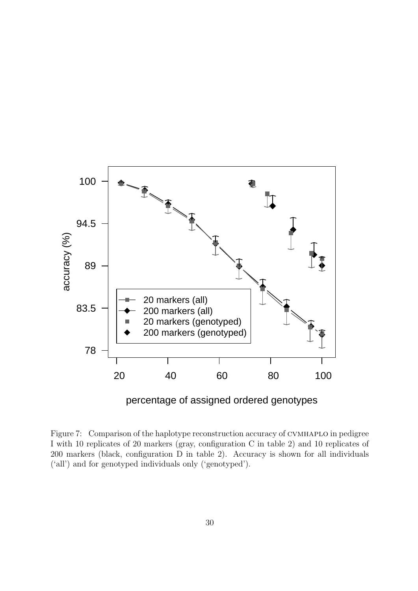

percentage of assigned ordered genotypes

Figure 7: Comparison of the haplotype reconstruction accuracy of CVMHAPLO in pedigree I with 10 replicates of 20 markers (gray, configuration C in table 2) and 10 replicates of 200 markers (black, configuration D in table 2). Accuracy is shown for all individuals ('all') and for genotyped individuals only ('genotyped').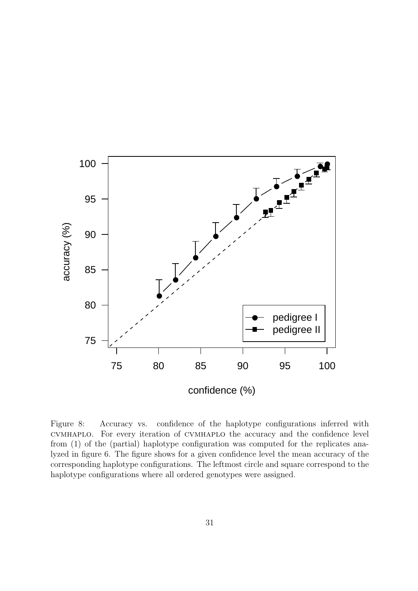

Figure 8: Accuracy vs. confidence of the haplotype configurations inferred with cvmhaplo. For every iteration of cvmhaplo the accuracy and the confidence level from (1) of the (partial) haplotype configuration was computed for the replicates analyzed in figure 6. The figure shows for a given confidence level the mean accuracy of the corresponding haplotype configurations. The leftmost circle and square correspond to the haplotype configurations where all ordered genotypes were assigned.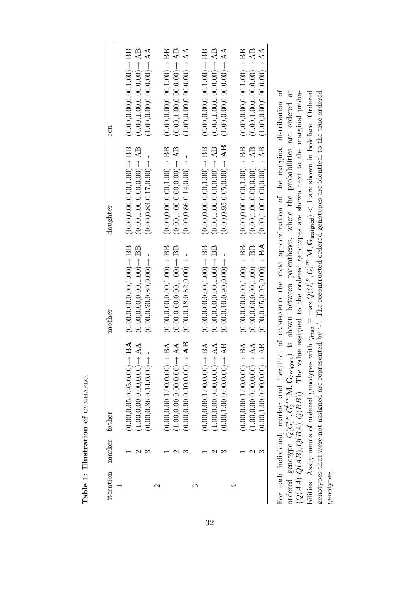| iteration              | marker father |                                                    | mother                                                                                                      | daughter                                           | son                                              |
|------------------------|---------------|----------------------------------------------------|-------------------------------------------------------------------------------------------------------------|----------------------------------------------------|--------------------------------------------------|
|                        |               |                                                    |                                                                                                             |                                                    |                                                  |
|                        |               | BA<br>$0.00, 0.05, 0.95, 0.00 \rightarrow$         | $(0.00, 0.00, 0.00, 1.00) \rightarrow$ BB                                                                   | $(0.00, 0.00, 0.00, 1.00) \rightarrow$ BB          | $(0.00, 0.00, 0.00, 1.00) \rightarrow$ BB        |
|                        | J             | AA<br>1.00, 0.00, 0.00, 0.00                       | $(0.00, 0.00, 0.00, 1.00) \rightarrow$ BB                                                                   | $(0.00, 1.00, 0.00, 0.00) \rightarrow AB$          | $(0.00, 1.00, 0.00, 0.00) \rightarrow AB$        |
|                        |               | (0.00, 0.86, 0.14, 0.00)                           | (0.00, 0.20, 0.80, 0.00)                                                                                    | $(0.00, 0.83, 0.17, 0.00)$ $\rightarrow$           | $(1.00, 0.00, 0.00, 0.00) \rightarrow AA$        |
| $\mathbf{\mathcal{C}}$ |               |                                                    |                                                                                                             |                                                    |                                                  |
|                        |               | BA<br>$\bigcirc$ 0.00.0.00.1.00.00.00              | $(0.00, 0.00, 0.00, 1.00) \rightarrow \text{BB}$                                                            | $(0.00, 0.00, 0.00, 1.00) \rightarrow$ BB          | $(0.00, 0.00, 0.00, 1.00) \rightarrow \text{BB}$ |
|                        |               | AA<br>(1.00, 0.00, 0.00, 0.00)                     | $(0.00, 0.00, 0.00, 1.00) \rightarrow$ BB                                                                   | $(0.00, 1.00, 0.00, 0.00) \rightarrow AB$          | $(0.00, 1.00, 0.00, 0.00) \rightarrow AB$        |
|                        |               | AB                                                 | $(0.00, 0.18, 0.82, 0.00)$ $\rightarrow$                                                                    | $(0.00, 0.86, 0.14, 0.00)$ $\rightarrow$           | $(1.00, 0.00, 0.00, 0.00) \rightarrow AA$        |
| ಌ                      |               |                                                    |                                                                                                             |                                                    |                                                  |
|                        |               | BA<br>(0.00.00.00.100.00)                          | $(0.00, 0.00, 0.00, 1.00) \rightarrow$ BB                                                                   | $(0.00, 0.00, 0.00, 1.00) \rightarrow \text{BB}$   | $(0.00, 0.00, 0.00, 1.00) \rightarrow$ BB        |
|                        |               | AA<br>$(1.00, 0.00, 0.00, 0.00) \rightarrow$       | $(0.00, 0.00, 0.00, 1.00) \rightarrow \text{BB}$                                                            | $(0.00, 1.00, 0.00, 0.00) \rightarrow AB$          | $(0.00, 1.00, 0.00, 0.00) \rightarrow AB$        |
|                        |               | A <sub>B</sub><br>$\uparrow$ (00:0,00:0,00;1,00:0) | (0.00, 0.00, 0.00, 0.00)                                                                                    | $(0.00, 0.95, 0.05, 0.00) \rightarrow \textbf{AB}$ | $(1.00, 0.00, 0.00, 0.00) \rightarrow AA$        |
|                        |               |                                                    |                                                                                                             |                                                    |                                                  |
|                        |               | BA<br>$(0.00.00.00.100.00) \rightarrow$            | $(0.00, 0.00, 0.00, 1.00) \rightarrow$ BB                                                                   | $(0.00, 0.00, 0.00, 1.00) \rightarrow \text{BB}$   | $(0.00, 0.00, 0.00, 1.00) \rightarrow$ BB        |
|                        | N             | AA<br>$(1.00, 0.00, 0.00, 0.00) \rightarrow$       | $(0.00, 0.00, 0.00, 1.00) \rightarrow$ BB                                                                   | $(0.00, 1.00, 0.00, 0.00) \rightarrow AB$          | $(0.00, 1.00, 0.00, 0.00) \rightarrow AB$        |
|                        |               | AB<br>(0.00, 0.00, 0.00, 0.00)                     | $(0.00, 0.05, 0.95, 0.00) \rightarrow$ BA                                                                   | $(0.00, 1.00, 0.00, 0.00) \rightarrow AB$          | $(1.00, 0.00, 0.00, 0.00) \rightarrow AA$        |
|                        |               |                                                    | For each individual, marker and iteration of CVMHAPLO the CVM approximation of the marginal distribution of |                                                    |                                                  |

ordered genotype  $Q(G_i^{l,p}, G_i^{l,m} | \mathbf{M}, \mathbf{G}_{\text{assigned}})$  is shown between parentheses, where the probabilities are ordered as  $(Q(AA), Q(AB), Q(BA), Q(BB))$ . The value assigned to the ordered genotypes are shown next to the marginal proba  $\sum_{\text{bilities. Assiments of ordered genotypes with } q_{\text{map}} \equiv \max Q(G_i^{l,p}, G_i^{l,m} | \mathbf{M}, \mathbf{G}_{\text{assigned}}) < 1$  are shown in boldface. Ordered genotypes that were not assigned are represented by '-'. The recontructed ordered genotypes are identical to the true ordered For each individual, marker and iteration of CVMHAPLO the CVM approximation of the marginal distribution of<br> $\mathbb{R}^n$ ordered genotype  $Q(G_i^{l,p}, G_i^{l,m} | \mathbf{M}, \mathbf{G}_{\text{assigned}})$  is shown between parentheses, where the probabilities are ordered as bilities. Assignments of ordered genotypes with  $q_{\text{map}} \equiv \max Q(G_i^{l,p}, G_i^{l,m} | \mathbf{M}, \mathbf{G}_{\text{assigned}}) < 1$  are shown in boldface. Ordered genotypes that were not assigned are represented by '-'. The recontructed ordered genotypes are identical to the true ordered  $(Q(AA), Q(AB), Q(BA), Q(BB)).$  The value assigned to the ordered genotypes are shown next to the marginal probagenotypes. genotypes.  $\mathop{\mathrm{For}}$ 

Table 1: Illustration of CVMHAPLO Table 1:  $\prod$ ustration of  $\text{CVMHAPLO}$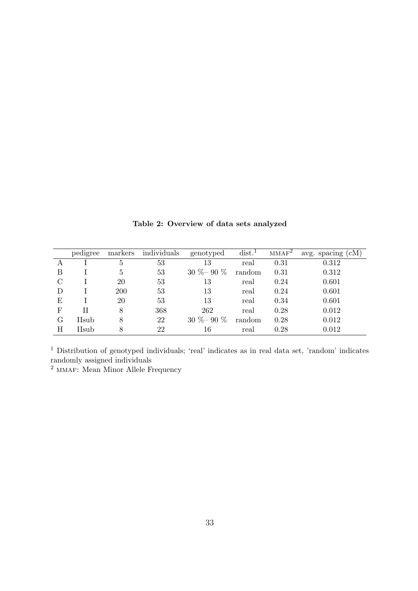|               | pedigree | markers | individuals | genotyped     | $dist.$ <sup>1</sup> | $MMAF^2$ | avg. spacing (cM) |
|---------------|----------|---------|-------------|---------------|----------------------|----------|-------------------|
|               |          | 5       | 53          | 13            | real                 | 0.31     | 0.312             |
| B             |          | 5       | 53          | $30\% - 90\%$ | random               | 0.31     | 0.312             |
| $\mathcal{C}$ |          | 20      | 53          | 13            | real                 | 0.24     | 0.601             |
| D             |          | 200     | 53          | 13            | real                 | 0.24     | 0.601             |
| Ε             |          | 20      | 53          | 13            | real                 | 0.34     | 0.601             |
| $_{\rm F}$    | Н        | 8       | 368         | 262           | real                 | 0.28     | 0.012             |
| G             | IIsub    | 8       | 22          | $30\% - 90\%$ | random               | 0.28     | 0.012             |
| Η             | IIsub    | 8       | 22          | 16            | real                 | 0.28     | 0.012             |

Table 2: Overview of data sets analyzed

<sup>1</sup> Distribution of genotyped individuals; 'real' indicates as in real data set, 'random' indicates randomly assigned individuals

<sup>2</sup> MMAF: Mean Minor Allele Frequency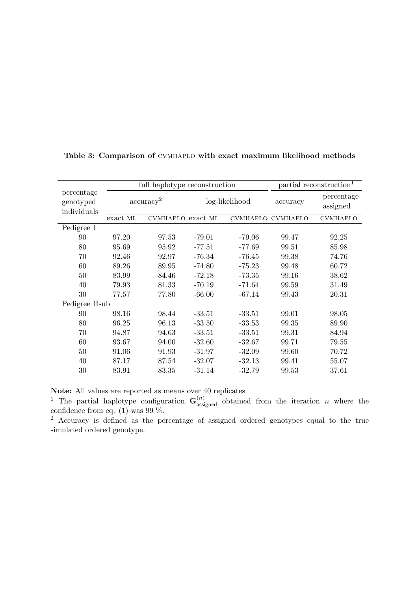|                                        |                       | full haplotype reconstruction | partial reconstruction <sup>1</sup> |                |                   |                        |
|----------------------------------------|-----------------------|-------------------------------|-------------------------------------|----------------|-------------------|------------------------|
| percentage<br>genotyped<br>individuals | $\mathrm{accuracy}^2$ |                               |                                     | log-likelihood | accuracy          | percentage<br>assigned |
|                                        | exact ML              | CVMHAPLO exact ML             |                                     |                | CVMHAPLO CVMHAPLO | <b>CVMHAPLO</b>        |
| Pedigree I                             |                       |                               |                                     |                |                   |                        |
| 90                                     | 97.20                 | 97.53                         | $-79.01$                            | $-79.06$       | 99.47             | 92.25                  |
| 80                                     | 95.69                 | 95.92                         | $-77.51$                            | $-77.69$       | 99.51             | 85.98                  |
| 70                                     | 92.46                 | 92.97                         | $-76.34$                            | $-76.45$       | 99.38             | 74.76                  |
| 60                                     | 89.26                 | 89.95                         | $-74.80$                            | $-75.23$       | 99.48             | 60.72                  |
| 50                                     | 83.99                 | 84.46                         | $-72.18$                            | $-73.35$       | 99.16             | 38.62                  |
| 40                                     | 79.93                 | 81.33                         | $-70.19$                            | $-71.64$       | 99.59             | 31.49                  |
| 30                                     | 77.57                 | 77.80                         | $-66.00$                            | $-67.14$       | 99.43             | 20.31                  |
| Pedigree IIsub                         |                       |                               |                                     |                |                   |                        |
| 90                                     | 98.16                 | 98.44                         | $-33.51$                            | $-33.51$       | 99.01             | 98.05                  |
| 80                                     | 96.25                 | 96.13                         | $-33.50$                            | $-33.53$       | 99.35             | 89.90                  |
| 70                                     | 94.87                 | 94.63                         | $-33.51$                            | $-33.51$       | 99.31             | 84.94                  |
| 60                                     | 93.67                 | 94.00                         | $-32.60$                            | $-32.67$       | 99.71             | 79.55                  |
| 50                                     | 91.06                 | 91.93                         | $-31.97$                            | $-32.09$       | 99.60             | 70.72                  |
| 40                                     | 87.17                 | 87.54                         | $-32.07$                            | $-32.13$       | 99.41             | 55.07                  |
| 30                                     | 83.91                 | 83.35                         | $-31.14$                            | $-32.79$       | 99.53             | 37.61                  |

Table 3: Comparison of cvmhaplo with exact maximum likelihood methods

Note: All values are reported as means over 40 replicates

<sup>1</sup> The partial haplotype configuration  $\mathbf{G}^{(n)}_{\text{assigned}}$  obtained from the iteration *n* where the confidence from eq.  $(1)$  was 99 %.

<sup>2</sup> Accuracy is defined as the percentage of assigned ordered genotypes equal to the true simulated ordered genotype.